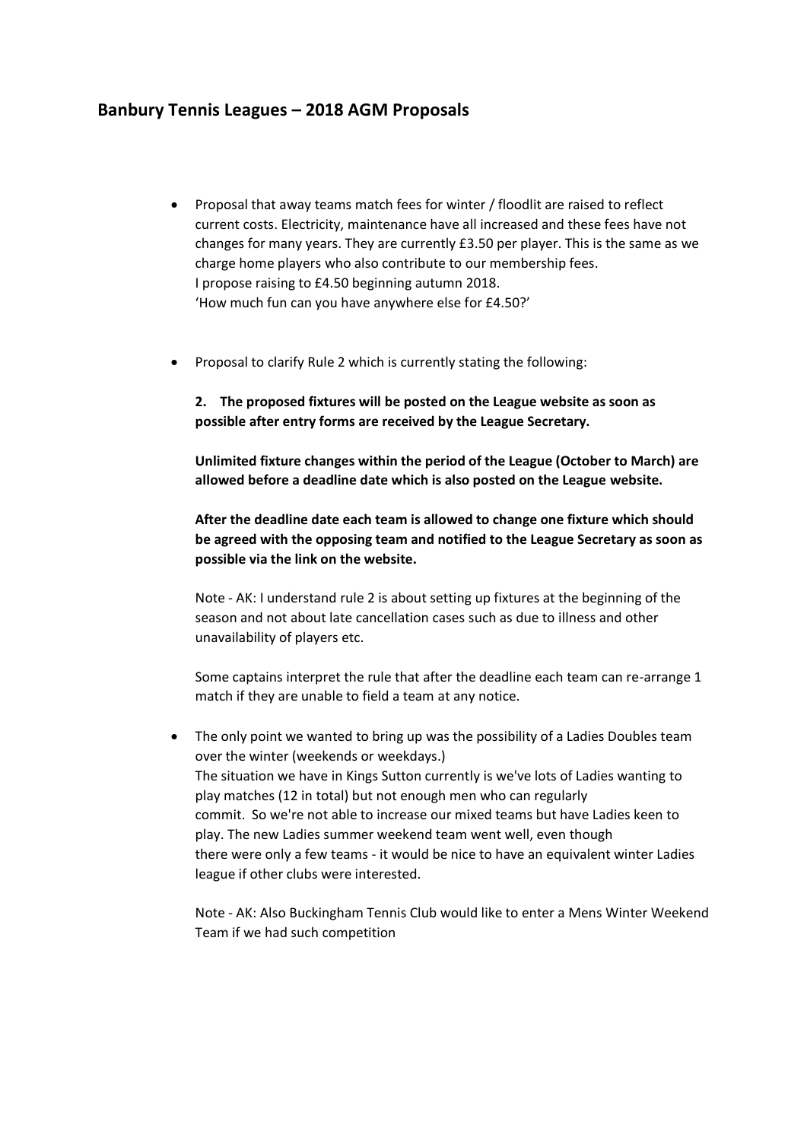## **Banbury Tennis Leagues – 2018 AGM Proposals**

- Proposal that away teams match fees for winter / floodlit are raised to reflect current costs. Electricity, maintenance have all increased and these fees have not changes for many years. They are currently £3.50 per player. This is the same as we charge home players who also contribute to our membership fees. I propose raising to £4.50 beginning autumn 2018. 'How much fun can you have anywhere else for £4.50?'
- Proposal to clarify Rule 2 which is currently stating the following:

**2. The proposed fixtures will be posted on the League website as soon as possible after entry forms are received by the League Secretary.** 

**Unlimited fixture changes within the period of the League (October to March) are allowed before a deadline date which is also posted on the League website.**

**After the deadline date each team is allowed to change one fixture which should be agreed with the opposing team and notified to the League Secretary as soon as possible via the link on the website.**

Note - AK: I understand rule 2 is about setting up fixtures at the beginning of the season and not about late cancellation cases such as due to illness and other unavailability of players etc.

Some captains interpret the rule that after the deadline each team can re-arrange 1 match if they are unable to field a team at any notice.

• The only point we wanted to bring up was the possibility of a Ladies Doubles team over the winter (weekends or weekdays.) The situation we have in Kings Sutton currently is we've lots of Ladies wanting to play matches (12 in total) but not enough men who can regularly commit. So we're not able to increase our mixed teams but have Ladies keen to play. The new Ladies summer weekend team went well, even though there were only a few teams - it would be nice to have an equivalent winter Ladies league if other clubs were interested.

Note - AK: Also Buckingham Tennis Club would like to enter a Mens Winter Weekend Team if we had such competition